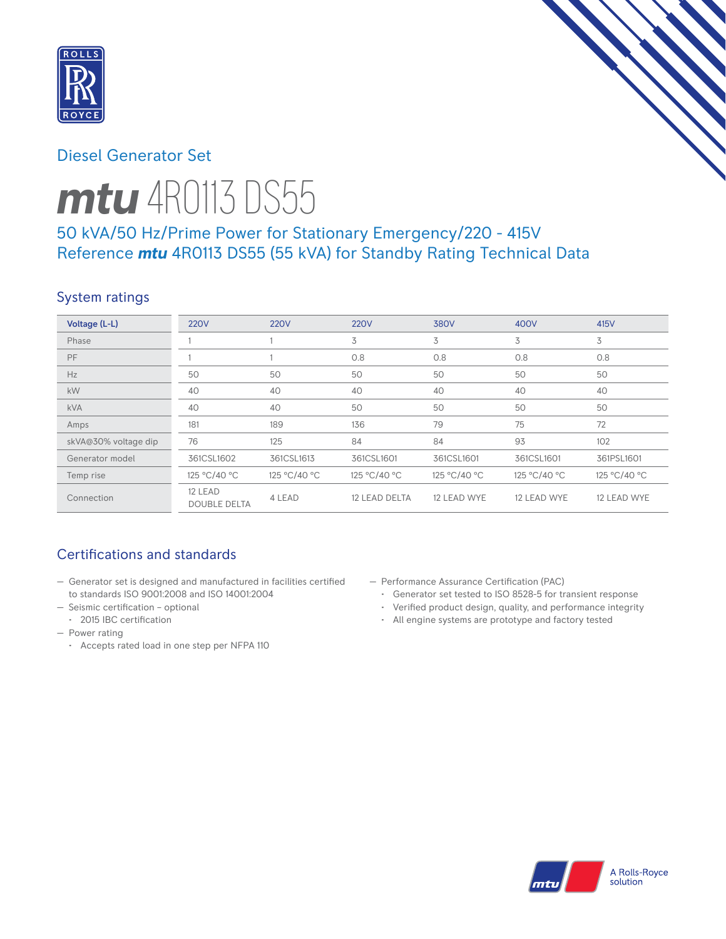

# Diesel Generator Set



# 50 kVA/50 Hz/Prime Power for Stationary Emergency/220 - 415V Reference *mtu* 4R0113 DS55 (55 kVA) for Standby Rating Technical Data

### System ratings

| Voltage (L-L)        | <b>220V</b>                    | <b>220V</b>  | <b>220V</b>   | 380V         | 400V         | 415V         |
|----------------------|--------------------------------|--------------|---------------|--------------|--------------|--------------|
| Phase                |                                |              | 3             | 3            | 3            | 3            |
| PF                   |                                |              | 0.8           | 0.8          | 0.8          | 0.8          |
| Hz                   | 50                             | 50           | 50            | 50           | 50           | 50           |
| kW                   | 40                             | 40           | 40            | 40           | 40           | 40           |
| <b>kVA</b>           | 40                             | 40           | 50            | 50           | 50           | 50           |
| Amps                 | 181                            | 189          | 136           | 79           | 75           | 72           |
| skVA@30% voltage dip | 76                             | 125          | 84            | 84           | 93           | 102          |
| Generator model      | 361CSL1602                     | 361CSL1613   | 361CSL1601    | 361CSL1601   | 361CSL1601   | 361PSL1601   |
| Temp rise            | 125 °C/40 °C                   | 125 °C/40 °C | 125 °C/40 °C  | 125 °C/40 °C | 125 °C/40 °C | 125 °C/40 °C |
| Connection           | 12 LEAD<br><b>DOUBLE DELTA</b> | 4 LEAD       | 12 LEAD DELTA | 12 LEAD WYE  | 12 LEAD WYE  | 12 LEAD WYE  |

## Certifications and standards

- Generator set is designed and manufactured in facilities certified to standards ISO 9001:2008 and ISO 14001:2004
- Seismic certification optional
- 2015 IBC certification
- Power rating
	- Accepts rated load in one step per NFPA 110
- Performance Assurance Certification (PAC)
	- Generator set tested to ISO 8528-5 for transient response
	- Verified product design, quality, and performance integrity
	- All engine systems are prototype and factory tested

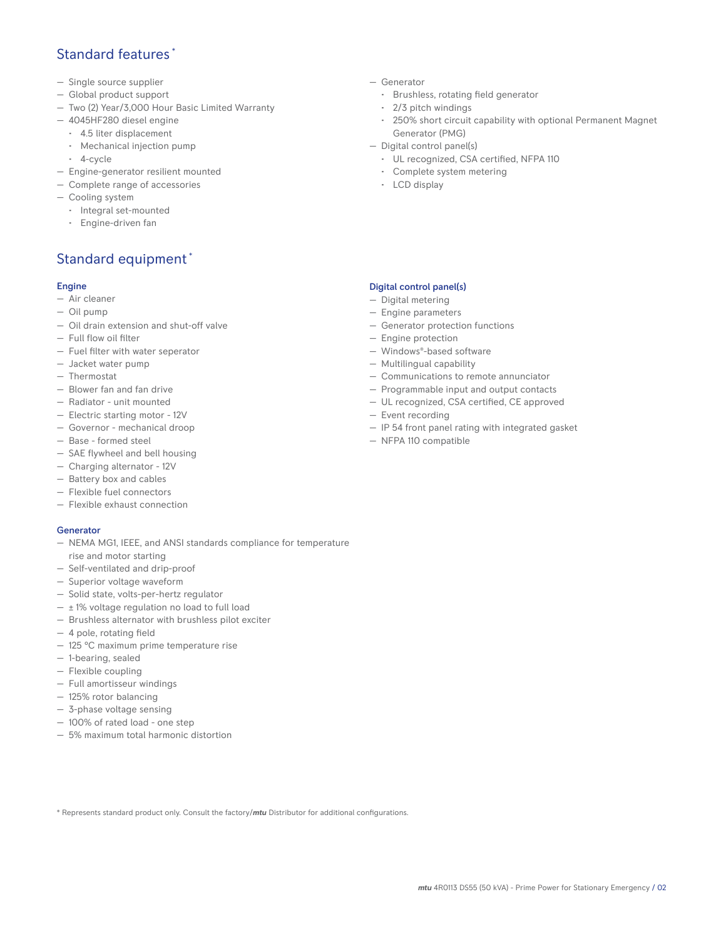### Standard features \*

- Single source supplier
- Global product support
- Two (2) Year/3,000 Hour Basic Limited Warranty
- 4045HF280 diesel engine
	- 4.5 liter displacement
	- Mechanical injection pump
	- 4-cycle
- Engine-generator resilient mounted
- Complete range of accessories
- Cooling system
- Integral set-mounted
	- Engine-driven fan

## Standard equipment \*

#### Engine

- Air cleaner
- Oil pump
- Oil drain extension and shut-off valve
- Full flow oil filter
- Fuel filter with water seperator
- Jacket water pump
- Thermostat
- Blower fan and fan drive
- Radiator unit mounted
- Electric starting motor 12V
- Governor mechanical droop
- Base formed steel
- SAE flywheel and bell housing
- Charging alternator 12V
- Battery box and cables
- Flexible fuel connectors
- Flexible exhaust connection

#### Generator

- NEMA MG1, IEEE, and ANSI standards compliance for temperature rise and motor starting
- Self-ventilated and drip-proof
- Superior voltage waveform
- Solid state, volts-per-hertz regulator
- $\pm$  1% voltage regulation no load to full load
- Brushless alternator with brushless pilot exciter
- 4 pole, rotating field
- 125 °C maximum prime temperature rise
- 1-bearing, sealed
- Flexible coupling
- Full amortisseur windings
- 125% rotor balancing
- 3-phase voltage sensing
- 100% of rated load one step
- 5% maximum total harmonic distortion
- Generator
	- Brushless, rotating field generator
	- 2/3 pitch windings
	- 250% short circuit capability with optional Permanent Magnet Generator (PMG)
- Digital control panel(s)
	- UL recognized, CSA certified, NFPA 110
	- Complete system metering
	- LCD display

#### Digital control panel(s)

- Digital metering
- Engine parameters
- Generator protection functions
- Engine protection
- Windows®-based software
- Multilingual capability
- Communications to remote annunciator
- Programmable input and output contacts
- UL recognized, CSA certified, CE approved
- Event recording
- IP 54 front panel rating with integrated gasket
- NFPA 110 compatible

\* Represents standard product only. Consult the factory/*mtu* Distributor for additional configurations.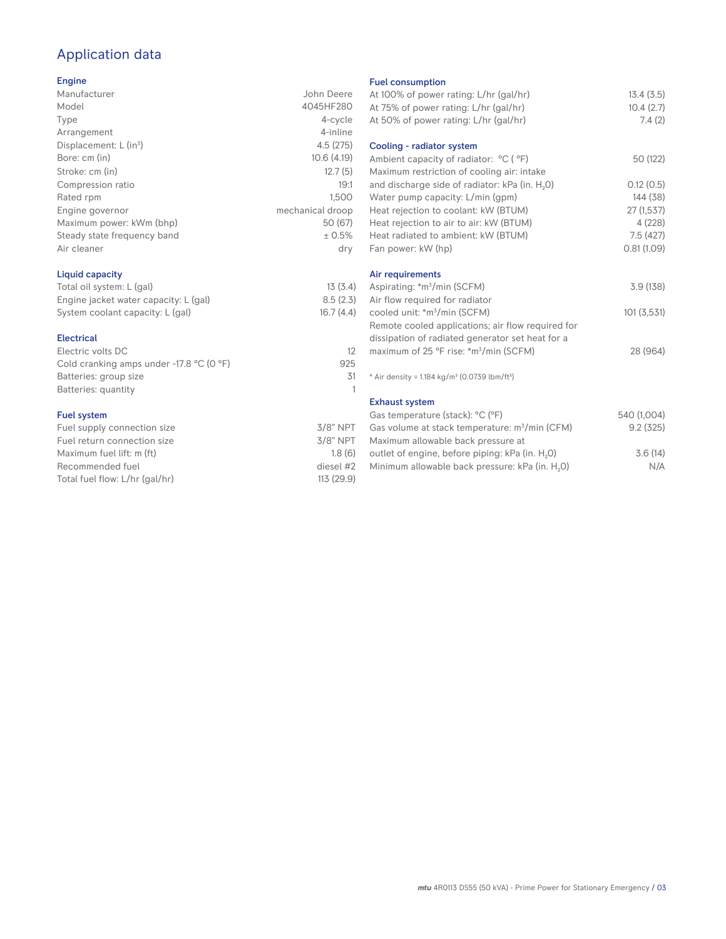# Application data

#### Engine

| Manufacturer                         | John Deere       |
|--------------------------------------|------------------|
| Model                                | 4045HF280        |
| Type                                 | 4-cycle          |
| Arrangement                          | 4-inline         |
| Displacement: $L$ (in <sup>3</sup> ) | 4.5(275)         |
| Bore: cm (in)                        | 10.6(4.19)       |
| Stroke: cm (in)                      | 12.7(5)          |
| Compression ratio                    | 19:1             |
| Rated rpm                            | 1.500            |
| Engine governor                      | mechanical droop |
| Maximum power: kWm (bhp)             | 50 (67)          |
| Steady state frequency band          | ± 0.5%           |
| Air cleaner                          | dry              |
|                                      |                  |

#### Liquid capacity

| Total oil system: L (gal)             | 13(3.4)   |
|---------------------------------------|-----------|
| Engine jacket water capacity: L (gal) | 8.5(2.3)  |
| System coolant capacity: L (gal)      | 16.7(4.4) |

#### Electrical

| Electric volts DC                                            |     |
|--------------------------------------------------------------|-----|
| Cold cranking amps under -17.8 $^{\circ}$ C (O $^{\circ}$ F) | 925 |
| Batteries: group size                                        | 31  |
| Batteries: quantity                                          |     |
|                                                              |     |

#### Fuel system

| $3/8$ " NPT |
|-------------|
| $3/8$ " NPT |
| 1.8(6)      |
| diesel #2   |
| 113 (29.9)  |
|             |

#### Fuel consumption

| At 100% of power rating: L/hr (gal/hr)                                | 13.4(3.5)   |
|-----------------------------------------------------------------------|-------------|
| At 75% of power rating: L/hr (gal/hr)                                 | 10.4(2.7)   |
| At 50% of power rating: L/hr (gal/hr)                                 | 7.4(2)      |
| Cooling - radiator system                                             |             |
| Ambient capacity of radiator: °C (°F)                                 | 50 (122)    |
| Maximum restriction of cooling air: intake                            |             |
| and discharge side of radiator: kPa (in. H <sub>2</sub> 0)            | 0.12(0.5)   |
| Water pump capacity: L/min (gpm)                                      | 144 (38)    |
| Heat rejection to coolant: kW (BTUM)                                  | 27(1,537)   |
| Heat rejection to air to air: kW (BTUM)                               | 4 (228)     |
| Heat radiated to ambient: kW (BTUM)                                   | 7.5(427)    |
| Fan power: kW (hp)                                                    | 0.81(1.09)  |
|                                                                       |             |
| Air requirements                                                      |             |
| Aspirating: *m <sup>3</sup> /min (SCFM)                               | 3.9(138)    |
| Air flow required for radiator                                        |             |
| cooled unit: *m <sup>3</sup> /min (SCFM)                              | 101(3,531)  |
| Remote cooled applications; air flow required for                     |             |
| dissipation of radiated generator set heat for a                      |             |
| maximum of 25 °F rise: *m <sup>3</sup> /min (SCFM)                    | 28 (964)    |
|                                                                       |             |
| * Air density = 1.184 kg/m <sup>3</sup> (0.0739 lbm/ft <sup>3</sup> ) |             |
| <b>Exhaust system</b>                                                 |             |
| Gas temperature (stack): °C (°F)                                      | 540 (1,004) |
| Gas volume at stack temperature: m <sup>3</sup> /min (CFM)            | 9.2(325)    |
| Maximum allowable back pressure at                                    |             |
| outlet of engine, before piping: kPa (in. H <sub>2</sub> 0)           | 3.6(14)     |
|                                                                       |             |

Minimum allowable back pressure: kPa (in.  $H_2O$ ) N/A